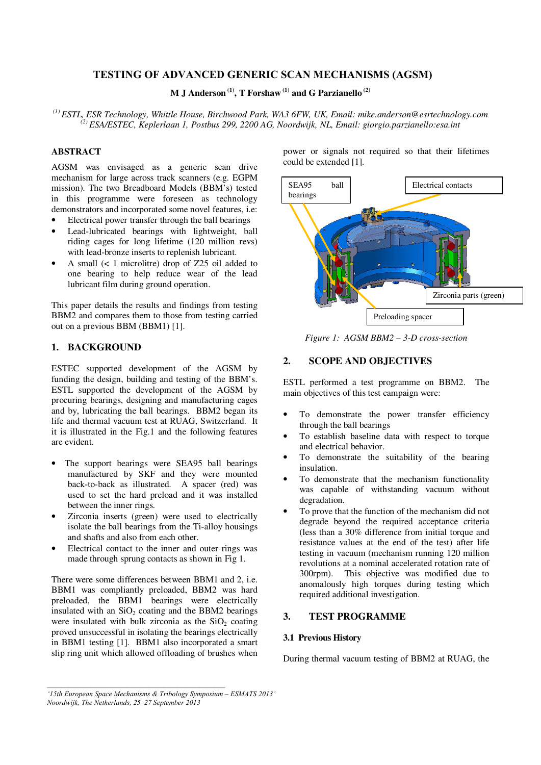# **TESTING OF ADVANCED GENERIC SCAN MECHANISMS (AGSM)**

**M J Anderson (1), T Forshaw (1) and G Parzianello (2)**

*(1) ESTL, ESR Technology, Whittle House, Birchwood Park, WA3 6FW, UK, Email: mike.anderson@esrtechnology.com (2) ESA/ESTEC, Keplerlaan 1, Postbus 299, 2200 AG, Noordwijk, NL, Email: giorgio.parzianello:esa.int* 

### **ABSTRACT**

AGSM was envisaged as a generic scan drive mechanism for large across track scanners (e.g. EGPM mission). The two Breadboard Models (BBM's) tested in this programme were foreseen as technology demonstrators and incorporated some novel features, i.e:

- Electrical power transfer through the ball bearings
- Lead-lubricated bearings with lightweight, ball riding cages for long lifetime (120 million revs) with lead-bronze inserts to replenish lubricant.
- A small (< 1 microlitre) drop of Z25 oil added to one bearing to help reduce wear of the lead lubricant film during ground operation.

This paper details the results and findings from testing BBM2 and compares them to those from testing carried out on a previous BBM (BBM1) [1].

## **1. BACKGROUND**

ESTEC supported development of the AGSM by funding the design, building and testing of the BBM's. ESTL supported the development of the AGSM by procuring bearings, designing and manufacturing cages and by, lubricating the ball bearings. BBM2 began its life and thermal vacuum test at RUAG, Switzerland. It it is illustrated in the Fig.1 and the following features are evident.

- The support bearings were SEA95 ball bearings manufactured by SKF and they were mounted back-to-back as illustrated. A spacer (red) was used to set the hard preload and it was installed between the inner rings.
- Zirconia inserts (green) were used to electrically isolate the ball bearings from the Ti-alloy housings and shafts and also from each other.
- Electrical contact to the inner and outer rings was made through sprung contacts as shown in Fig 1.

There were some differences between BBM1 and 2, i.e. BBM1 was compliantly preloaded, BBM2 was hard preloaded, the BBM1 bearings were electrically insulated with an  $SiO<sub>2</sub>$  coating and the BBM2 bearings were insulated with bulk zirconia as the  $SiO<sub>2</sub>$  coating proved unsuccessful in isolating the bearings electrically in BBM1 testing [1]. BBM1 also incorporated a smart slip ring unit which allowed offloading of brushes when power or signals not required so that their lifetimes could be extended [1].



*Figure 1: AGSM BBM2 – 3-D cross-section* 

## **2. SCOPE AND OBJECTIVES**

ESTL performed a test programme on BBM2. The main objectives of this test campaign were:

- To demonstrate the power transfer efficiency through the ball bearings
- To establish baseline data with respect to torque and electrical behavior.
- To demonstrate the suitability of the bearing insulation.
- To demonstrate that the mechanism functionality was capable of withstanding vacuum without degradation.
- To prove that the function of the mechanism did not degrade beyond the required acceptance criteria (less than a 30% difference from initial torque and resistance values at the end of the test) after life testing in vacuum (mechanism running 120 million revolutions at a nominal accelerated rotation rate of 300rpm). This objective was modified due to anomalously high torques during testing which required additional investigation.

## **3. TEST PROGRAMME**

### **3.1 Previous History**

During thermal vacuum testing of BBM2 at RUAG, the

*<sup>&#</sup>x27;15th European Space Mechanisms & Tribology Symposium – ESMATS 2013' Noordwijk, The Netherlands, 25–27 September 2013*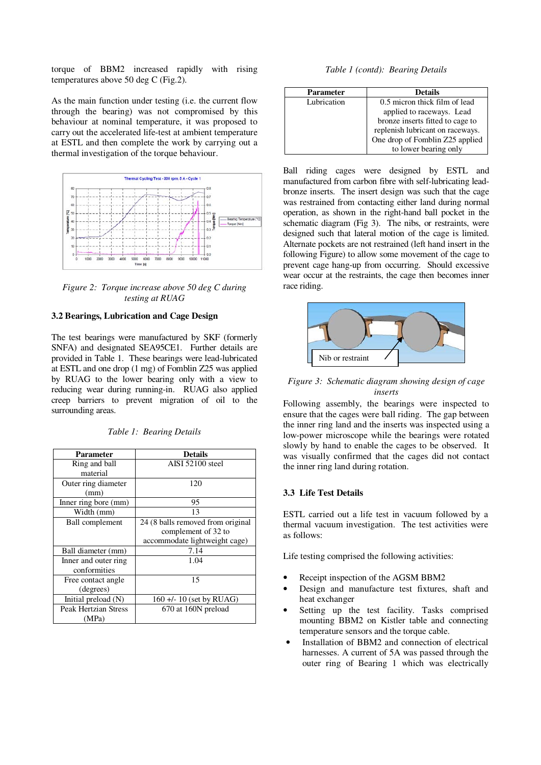torque of BBM2 increased rapidly with rising temperatures above 50 deg C (Fig.2).

As the main function under testing (i.e. the current flow through the bearing) was not compromised by this behaviour at nominal temperature, it was proposed to carry out the accelerated life-test at ambient temperature at ESTL and then complete the work by carrying out a thermal investigation of the torque behaviour.



*Figure 2: Torque increase above 50 deg C during testing at RUAG* 

## **3.2 Bearings, Lubrication and Cage Design**

The test bearings were manufactured by SKF (formerly SNFA) and designated SEA95CE1. Further details are provided in Table 1. These bearings were lead-lubricated at ESTL and one drop (1 mg) of Fomblin Z25 was applied by RUAG to the lower bearing only with a view to reducing wear during running-in. RUAG also applied creep barriers to prevent migration of oil to the surrounding areas.

| <b>Parameter</b>            | <b>Details</b>                    |
|-----------------------------|-----------------------------------|
| Ring and ball               | AISI 52100 steel                  |
| material                    |                                   |
| Outer ring diameter         | 120                               |
| (mm)                        |                                   |
| Inner ring bore (mm)        | 95                                |
| Width (mm)                  | 13                                |
| <b>Ball</b> complement      | 24 (8 balls removed from original |
|                             | complement of 32 to               |
|                             | accommodate lightweight cage)     |
| Ball diameter (mm)          | 7.14                              |
| Inner and outer ring        | 1.04                              |
| conformities                |                                   |
| Free contact angle          | 15                                |
| (degrees)                   |                                   |
| Initial preload $(N)$       | $160 + 10$ (set by RUAG)          |
| <b>Peak Hertzian Stress</b> | 670 at 160N preload               |
| (MPa)                       |                                   |

*Table 1 (contd): Bearing Details* 

| <b>Parameter</b> | <b>Details</b>                   |
|------------------|----------------------------------|
| Lubrication      | 0.5 micron thick film of lead    |
|                  | applied to raceways. Lead        |
|                  | bronze inserts fitted to cage to |
|                  | replenish lubricant on raceways. |
|                  | One drop of Fomblin Z25 applied  |
|                  | to lower bearing only            |

Ball riding cages were designed by ESTL and manufactured from carbon fibre with self-lubricating leadbronze inserts. The insert design was such that the cage was restrained from contacting either land during normal operation, as shown in the right-hand ball pocket in the schematic diagram (Fig 3). The nibs, or restraints, were designed such that lateral motion of the cage is limited. Alternate pockets are not restrained (left hand insert in the following Figure) to allow some movement of the cage to prevent cage hang-up from occurring. Should excessive wear occur at the restraints, the cage then becomes inner race riding.



### *Figure 3: Schematic diagram showing design of cage inserts*

Following assembly, the bearings were inspected to ensure that the cages were ball riding. The gap between the inner ring land and the inserts was inspected using a low-power microscope while the bearings were rotated slowly by hand to enable the cages to be observed. It was visually confirmed that the cages did not contact the inner ring land during rotation.

### **3.3 Life Test Details**

ESTL carried out a life test in vacuum followed by a thermal vacuum investigation. The test activities were as follows:

Life testing comprised the following activities:

- Receipt inspection of the AGSM BBM2
- Design and manufacture test fixtures, shaft and heat exchanger
- Setting up the test facility. Tasks comprised mounting BBM2 on Kistler table and connecting temperature sensors and the torque cable.
- Installation of BBM2 and connection of electrical harnesses. A current of 5A was passed through the outer ring of Bearing 1 which was electrically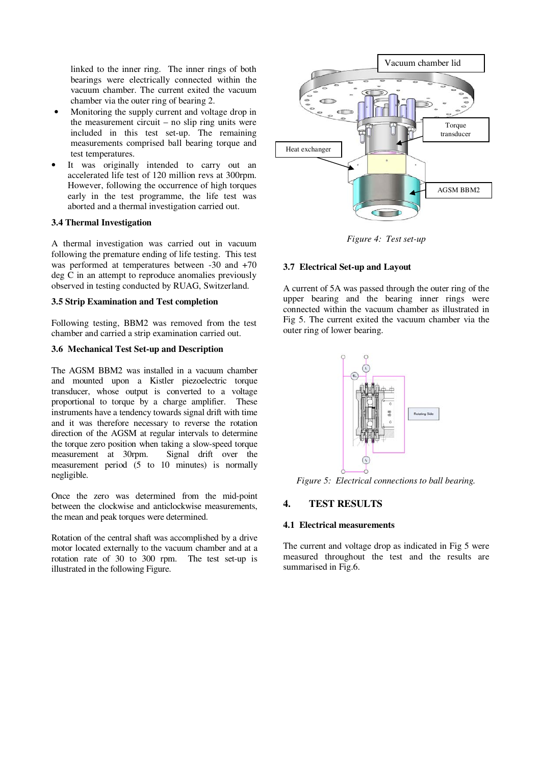linked to the inner ring. The inner rings of both bearings were electrically connected within the vacuum chamber. The current exited the vacuum chamber via the outer ring of bearing 2.

- Monitoring the supply current and voltage drop in the measurement circuit – no slip ring units were included in this test set-up. The remaining measurements comprised ball bearing torque and test temperatures.
- It was originally intended to carry out an accelerated life test of 120 million revs at 300rpm. However, following the occurrence of high torques early in the test programme, the life test was aborted and a thermal investigation carried out.

### **3.4 Thermal Investigation**

A thermal investigation was carried out in vacuum following the premature ending of life testing. This test was performed at temperatures between -30 and +70 deg C in an attempt to reproduce anomalies previously observed in testing conducted by RUAG, Switzerland.

#### **3.5 Strip Examination and Test completion**

Following testing, BBM2 was removed from the test chamber and carried a strip examination carried out.

### **3.6 Mechanical Test Set-up and Description**

The AGSM BBM2 was installed in a vacuum chamber and mounted upon a Kistler piezoelectric torque transducer, whose output is converted to a voltage proportional to torque by a charge amplifier. These instruments have a tendency towards signal drift with time and it was therefore necessary to reverse the rotation direction of the AGSM at regular intervals to determine the torque zero position when taking a slow-speed torque<br>measurement at 30rpm. Signal drift over the measurement at 30rpm. measurement period (5 to 10 minutes) is normally negligible.

Once the zero was determined from the mid-point between the clockwise and anticlockwise measurements, the mean and peak torques were determined.

Rotation of the central shaft was accomplished by a drive motor located externally to the vacuum chamber and at a rotation rate of 30 to 300 rpm. The test set-up is illustrated in the following Figure.



*Figure 4: Test set-up* 

### **3.7 Electrical Set-up and Layout**

A current of 5A was passed through the outer ring of the upper bearing and the bearing inner rings were connected within the vacuum chamber as illustrated in Fig 5. The current exited the vacuum chamber via the outer ring of lower bearing.



*Figure 5: Electrical connections to ball bearing.* 

## **4. TEST RESULTS**

#### **4.1 Electrical measurements**

The current and voltage drop as indicated in Fig 5 were measured throughout the test and the results are summarised in Fig.6.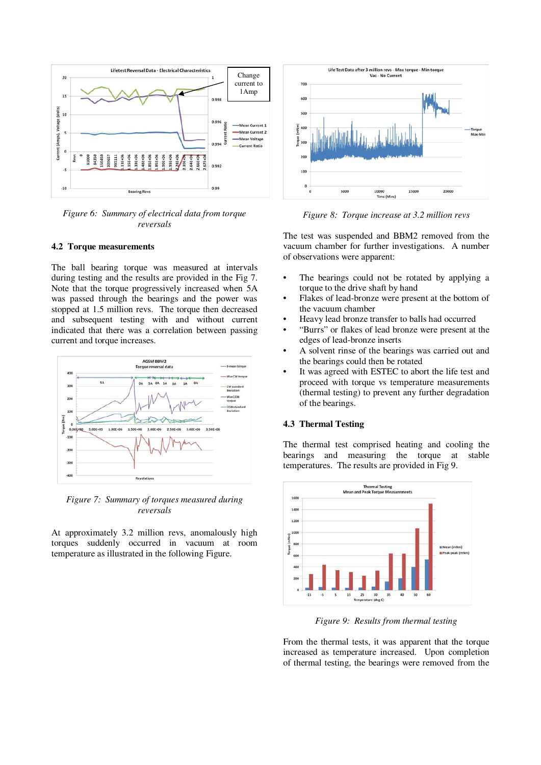

*Figure 6: Summary of electrical data from torque reversals* 

#### **4.2 Torque measurements**

The ball bearing torque was measured at intervals during testing and the results are provided in the Fig 7. Note that the torque progressively increased when 5A was passed through the bearings and the power was stopped at 1.5 million revs. The torque then decreased and subsequent testing with and without current indicated that there was a correlation between passing current and torque increases.



*Figure 7: Summary of torques measured during reversals* 

At approximately 3.2 million revs, anomalously high torques suddenly occurred in vacuum at room temperature as illustrated in the following Figure.



*Figure 8: Torque increase at 3.2 million revs* 

The test was suspended and BBM2 removed from the vacuum chamber for further investigations. A number of observations were apparent:

- The bearings could not be rotated by applying a torque to the drive shaft by hand
- Flakes of lead-bronze were present at the bottom of the vacuum chamber
- Heavy lead bronze transfer to balls had occurred
- "Burrs" or flakes of lead bronze were present at the edges of lead-bronze inserts
- A solvent rinse of the bearings was carried out and the bearings could then be rotated
- It was agreed with ESTEC to abort the life test and proceed with torque vs temperature measurements (thermal testing) to prevent any further degradation of the bearings.

### **4.3 Thermal Testing**

The thermal test comprised heating and cooling the bearings and measuring the torque at stable temperatures. The results are provided in Fig 9.



*Figure 9: Results from thermal testing* 

From the thermal tests, it was apparent that the torque increased as temperature increased. Upon completion of thermal testing, the bearings were removed from the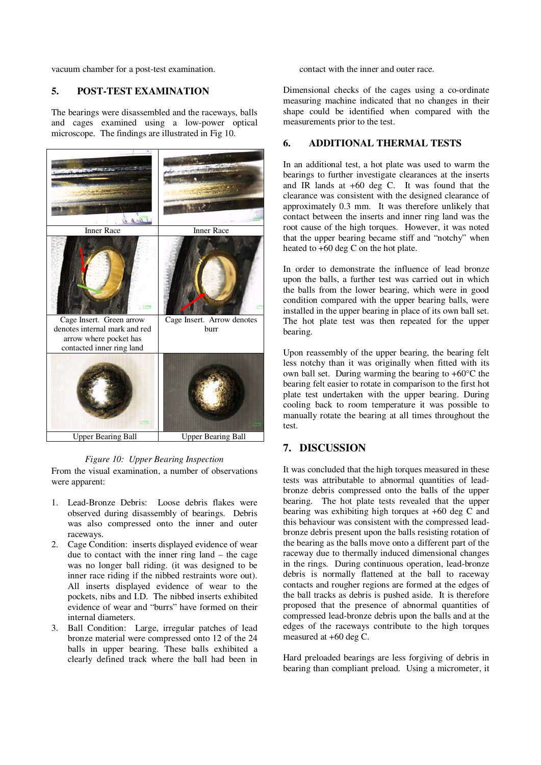vacuum chamber for a post-test examination.

### **5. POST-TEST EXAMINATION**

The bearings were disassembled and the raceways, balls and cages examined using a low-power optical microscope. The findings are illustrated in Fig 10.



#### *Figure 10: Upper Bearing Inspection*

From the visual examination, a number of observations were apparent:

- 1. Lead-Bronze Debris: Loose debris flakes were observed during disassembly of bearings. Debris was also compressed onto the inner and outer raceways.
- 2. Cage Condition: inserts displayed evidence of wear due to contact with the inner ring land – the cage was no longer ball riding. (it was designed to be inner race riding if the nibbed restraints wore out). All inserts displayed evidence of wear to the pockets, nibs and I.D. The nibbed inserts exhibited evidence of wear and "burrs" have formed on their internal diameters.
- 3. Ball Condition: Large, irregular patches of lead bronze material were compressed onto 12 of the 24 balls in upper bearing. These balls exhibited a clearly defined track where the ball had been in

contact with the inner and outer race.

Dimensional checks of the cages using a co-ordinate measuring machine indicated that no changes in their shape could be identified when compared with the measurements prior to the test.

### **6. ADDITIONAL THERMAL TESTS**

In an additional test, a hot plate was used to warm the bearings to further investigate clearances at the inserts and IR lands at +60 deg C. It was found that the clearance was consistent with the designed clearance of approximately 0.3 mm. It was therefore unlikely that contact between the inserts and inner ring land was the root cause of the high torques. However, it was noted that the upper bearing became stiff and "notchy" when heated to +60 deg C on the hot plate.

In order to demonstrate the influence of lead bronze upon the balls, a further test was carried out in which the balls from the lower bearing, which were in good condition compared with the upper bearing balls, were installed in the upper bearing in place of its own ball set. The hot plate test was then repeated for the upper bearing.

Upon reassembly of the upper bearing, the bearing felt less notchy than it was originally when fitted with its own ball set. During warming the bearing to  $+60^{\circ}$ C the bearing felt easier to rotate in comparison to the first hot plate test undertaken with the upper bearing. During cooling back to room temperature it was possible to manually rotate the bearing at all times throughout the test.

# **7. DISCUSSION**

It was concluded that the high torques measured in these tests was attributable to abnormal quantities of leadbronze debris compressed onto the balls of the upper bearing. The hot plate tests revealed that the upper bearing was exhibiting high torques at +60 deg C and this behaviour was consistent with the compressed leadbronze debris present upon the balls resisting rotation of the bearing as the balls move onto a different part of the raceway due to thermally induced dimensional changes in the rings. During continuous operation, lead-bronze debris is normally flattened at the ball to raceway contacts and rougher regions are formed at the edges of the ball tracks as debris is pushed aside. It is therefore proposed that the presence of abnormal quantities of compressed lead-bronze debris upon the balls and at the edges of the raceways contribute to the high torques measured at +60 deg C.

Hard preloaded bearings are less forgiving of debris in bearing than compliant preload. Using a micrometer, it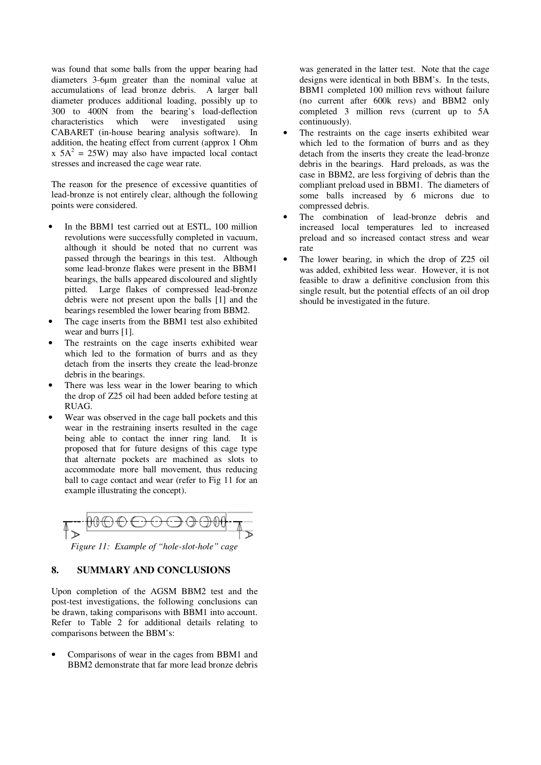was found that some balls from the upper bearing had diameters 3-6µm greater than the nominal value at accumulations of lead bronze debris. A larger ball diameter produces additional loading, possibly up to 300 to 400N from the bearing's load-deflection characteristics which were investigated using CABARET (in-house bearing analysis software). In addition, the heating effect from current (approx 1 Ohm  $x$  5A<sup>2</sup> = 25W) may also have impacted local contact stresses and increased the cage wear rate.

The reason for the presence of excessive quantities of lead-bronze is not entirely clear, although the following points were considered.

- In the BBM1 test carried out at ESTL, 100 million revolutions were successfully completed in vacuum, although it should be noted that no current was passed through the bearings in this test. Although some lead-bronze flakes were present in the BBM1 bearings, the balls appeared discoloured and slightly pitted. Large flakes of compressed lead-bronze debris were not present upon the balls [1] and the bearings resembled the lower bearing from BBM2.
- The cage inserts from the BBM1 test also exhibited wear and burrs [1].
- The restraints on the cage inserts exhibited wear which led to the formation of burrs and as they detach from the inserts they create the lead-bronze debris in the bearings.
- There was less wear in the lower bearing to which the drop of Z25 oil had been added before testing at RUAG.
- Wear was observed in the cage ball pockets and this wear in the restraining inserts resulted in the cage being able to contact the inner ring land. It is proposed that for future designs of this cage type that alternate pockets are machined as slots to accommodate more ball movement, thus reducing ball to cage contact and wear (refer to Fig 11 for an example illustrating the concept).



*Figure 11: Example of "hole-slot-hole" cage* 

### **8. SUMMARY AND CONCLUSIONS**

Upon completion of the AGSM BBM2 test and the post-test investigations, the following conclusions can be drawn, taking comparisons with BBM1 into account. Refer to Table 2 for additional details relating to comparisons between the BBM's:

• Comparisons of wear in the cages from BBM1 and BBM2 demonstrate that far more lead bronze debris

was generated in the latter test. Note that the cage designs were identical in both BBM's. In the tests, BBM1 completed 100 million revs without failure (no current after 600k revs) and BBM2 only completed 3 million revs (current up to 5A continuously).

- The restraints on the cage inserts exhibited wear which led to the formation of burrs and as they detach from the inserts they create the lead-bronze debris in the bearings. Hard preloads, as was the case in BBM2, are less forgiving of debris than the compliant preload used in BBM1. The diameters of some balls increased by 6 microns due to compressed debris.
- The combination of lead-bronze debris and increased local temperatures led to increased preload and so increased contact stress and wear rate
- The lower bearing, in which the drop of Z25 oil was added, exhibited less wear. However, it is not feasible to draw a definitive conclusion from this single result, but the potential effects of an oil drop should be investigated in the future.